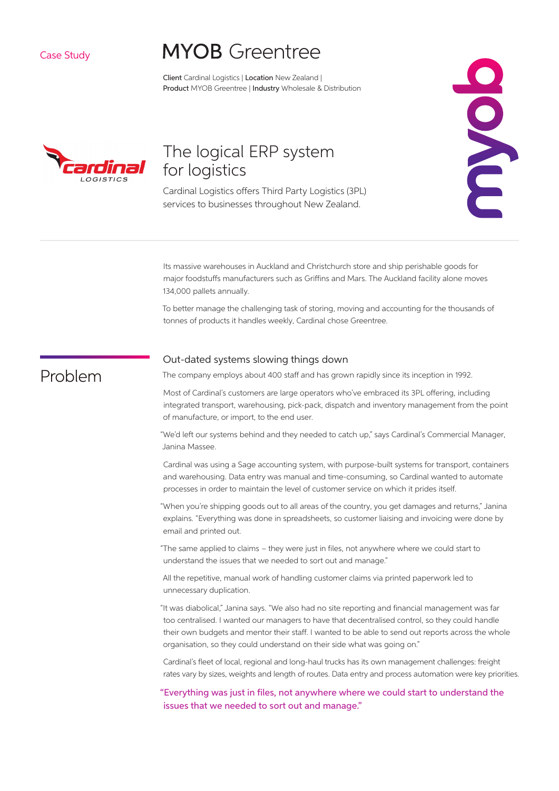Case Study

# **MYOB** Greentree

Client Cardinal Logistics | Location New Zealand | Product MYOB Greentree | Industry Wholesale & Distribution



# The logical ERP system for logistics

Cardinal Logistics offers Third Party Logistics (3PL) services to businesses throughout New Zealand.



Its massive warehouses in Auckland and Christchurch store and ship perishable goods for major foodstuffs manufacturers such as Griffins and Mars. The Auckland facility alone moves 134,000 pallets annually.

To better manage the challenging task of storing, moving and accounting for the thousands of tonnes of products it handles weekly, Cardinal chose Greentree.

# Problem

### Out-dated systems slowing things down

The company employs about 400 staff and has grown rapidly since its inception in 1992.

Most of Cardinal's customers are large operators who've embraced its 3PL offering, including integrated transport, warehousing, pick-pack, dispatch and inventory management from the point of manufacture, or import, to the end user.

"We'd left our systems behind and they needed to catch up," says Cardinal's Commercial Manager, Janina Massee.

Cardinal was using a Sage accounting system, with purpose-built systems for transport, containers and warehousing. Data entry was manual and time-consuming, so Cardinal wanted to automate processes in order to maintain the level of customer service on which it prides itself.

"When you're shipping goods out to all areas of the country, you get damages and returns," Janina explains. "Everything was done in spreadsheets, so customer liaising and invoicing were done by email and printed out.

"The same applied to claims – they were just in files, not anywhere where we could start to understand the issues that we needed to sort out and manage."

All the repetitive, manual work of handling customer claims via printed paperwork led to unnecessary duplication.

"It was diabolical," Janina says. "We also had no site reporting and financial management was far too centralised. I wanted our managers to have that decentralised control, so they could handle their own budgets and mentor their staff . I wanted to be able to send out reports across the whole organisation, so they could understand on their side what was going on."

Cardinal's fleet of local, regional and long-haul trucks has its own management challenges: freight rates vary by sizes, weights and length of routes. Data entry and process automation were key priorities.

"Everything was just in files, not anywhere where we could start to understand the issues that we needed to sort out and manage."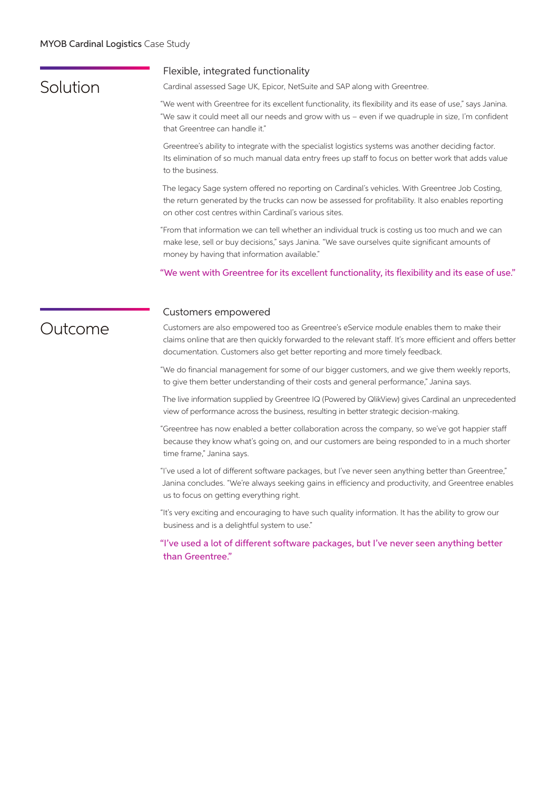#### MYOB Cardinal Logistics Case Study

### Solution

### Flexible, integrated functionality

Cardinal assessed Sage UK, Epicor, NetSuite and SAP along with Greentree.

"We went with Greentree for its excellent functionality, its flexibility and its ease of use," says Janina. "We saw it could meet all our needs and grow with us – even if we quadruple in size, I'm confident that Greentree can handle it."

Greentree's ability to integrate with the specialist logistics systems was another deciding factor. Its elimination of so much manual data entry frees up staff to focus on better work that adds value to the business.

The legacy Sage system offered no reporting on Cardinal's vehicles. With Greentree Job Costing, the return generated by the trucks can now be assessed for profitability. It also enables reporting on other cost centres within Cardinal's various sites.

"From that information we can tell whether an individual truck is costing us too much and we can make lese, sell or buy decisions," says Janina. "We save ourselves quite significant amounts of money by having that information available."

"We went with Greentree for its excellent functionality, its flexibility and its ease of use."

### Outcome

#### Customers empowered

Customers are also empowered too as Greentree's eService module enables them to make their claims online that are then quickly forwarded to the relevant staff. It's more efficient and offers better documentation. Customers also get better reporting and more timely feedback.

"We do financial management for some of our bigger customers, and we give them weekly reports, to give them better understanding of their costs and general performance," Janina says.

The live information supplied by Greentree IQ (Powered by QlikView) gives Cardinal an unprecedented view of performance across the business, resulting in better strategic decision-making.

"Greentree has now enabled a better collaboration across the company, so we've got happier staff because they know what's going on, and our customers are being responded to in a much shorter time frame," Janina says.

"I've used a lot of different software packages, but I've never seen anything better than Greentree," Janina concludes. "We're always seeking gains in efficiency and productivity, and Greentree enables us to focus on getting everything right.

"It's very exciting and encouraging to have such quality information. It has the ability to grow our business and is a delightful system to use."

"I've used a lot of different software packages, but I've never seen anything better than Greentree."